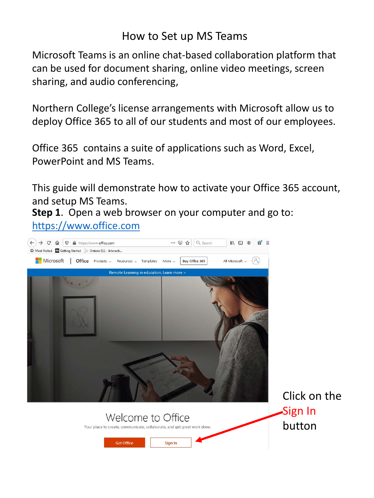## How to Set up MS Teams

Microsoft Teams is an online chat-based collaboration platform that can be used for document sharing, online video meetings, screen sharing, and audio conferencing,

Northern College's license arrangements with Microsoft allow us to deploy Office 365 to all of our students and most of our employees.

Office 365 contains a suite of applications such as Word, Excel, PowerPoint and MS Teams.

This guide will demonstrate how to activate your Office 365 account, and setup MS Teams.

**Step 1**. Open a web browser on your computer and go to: [https://www.office.com](https://www.office.com/)

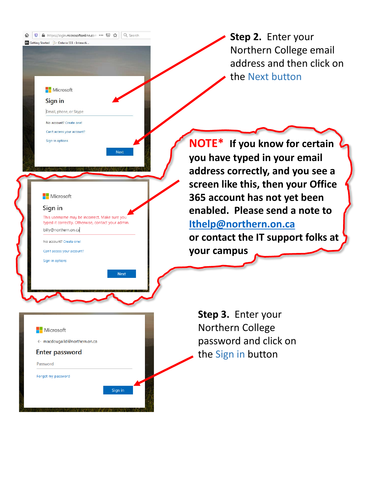**Step 2.** Enter your Northern College email address and then click on the Next button

**NOTE\* If you know for certain you have typed in your email address correctly, and you see a screen like this, then your Office 365 account has not yet been enabled. Please send a note to [Ithelp@northern.on.ca](mailto:Ithelp@northern.on.ca)**

**or contact the IT support folks at your campus**

**Step 3.** Enter your Northern College password and click on the Sign in button

#### Microsoft

#### Sign in

This username may be incorrect. Make sure you typed it correctly. Otherwise, contact your admin. billy@northern.on.ca

**Next** 

Sign in

0 A https://login.microsoftonline.com ••• ⊙ ☆ Q Search

Getting Started 2 Ontario 511 - Interacti.

Microsoft Sign in

Email, phone, or Skype No account? Create one! Can't access your account? Sign-in options

No account? Create one!

Can't access your account?

Sign-in options

### ← macdougalld@northern.on.ca

Microsoft

**Enter password** 

Password

Forgot my password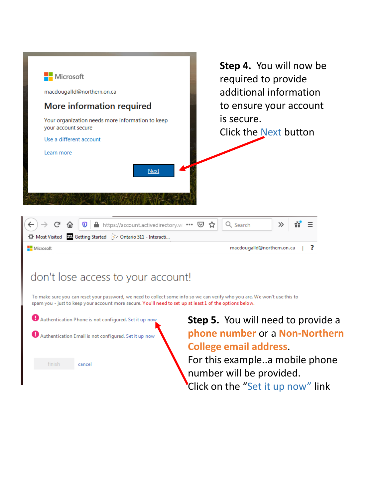

### don't lose access to your account!

To make sure you can reset your password, we need to collect some info so we can verify who you are. We won't use this to spam you - just to keep your account more secure. You'll need to set up at least 1 of the options below.



**Step 5.** You will need to provide a **phone number** or a **Non-Northern College email address**.

For this example..a mobile phone number will be provided. Click on the "Set it up now" link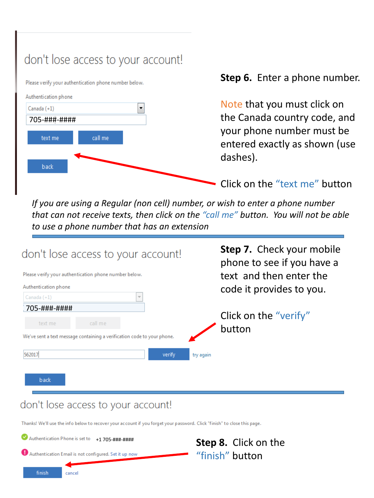# don't lose access to your account!



#### **Step 6.** Enter a phone number.

Note that you must click on the Canada country code, and your phone number must be entered exactly as shown (use dashes).

Click on the "text me" button

*If you are using a Regular (non cell) number, or wish to enter a phone number that can not receive texts, then click on the "call me" button. You will not be able to use a phone number that has an extension*



#### don't lose access to your account!

Thanks! We'll use the info below to recover your account if you forget your password. Click "finish" to close this page.

| Authentication Phone is set to |        | +1 705-###-####                                       |                 | <b>Step 8.</b> Click on the |
|--------------------------------|--------|-------------------------------------------------------|-----------------|-----------------------------|
|                                |        | Authentication Email is not configured. Set it up now | "finish" button |                             |
| finish                         | cancel |                                                       |                 |                             |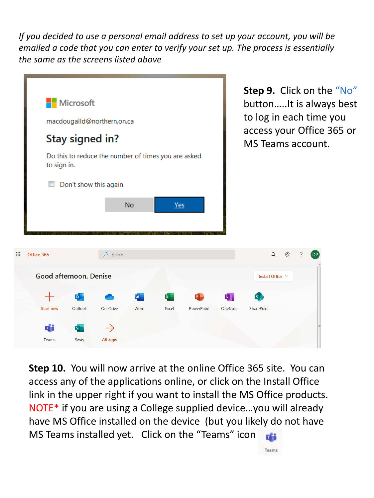*If you decided to use a personal email address to set up your account, you will be emailed a code that you can enter to verify your set up. The process is essentially the same as the screens listed above*



**Step 10.** You will now arrive at the online Office 365 site. You can access any of the applications online, or click on the Install Office link in the upper right if you want to install the MS Office products. NOTE\* if you are using a College supplied device…you will already have MS Office installed on the device (but you likely do not have MS Teams installed yet. Click on the "Teams" icon

Teams